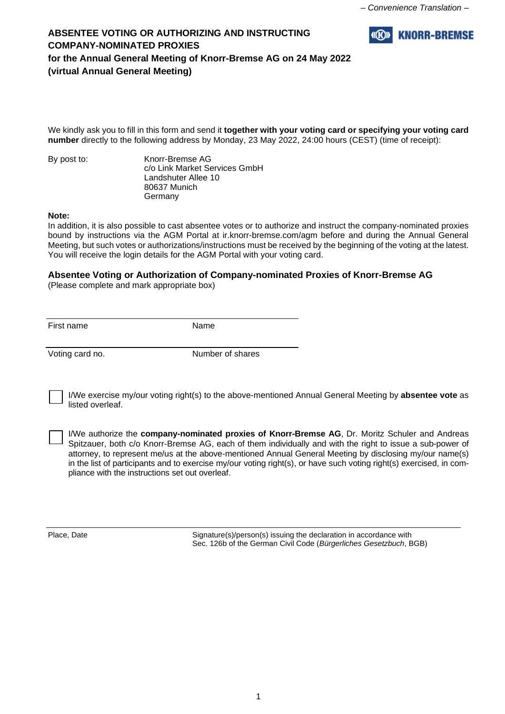

We kindly ask you to fill in this form and send it **together with your voting card or specifying your voting card number** directly to the following address by Monday, 23 May 2022, 24:00 hours (CEST) (time of receipt):

By post to: Knorr-Bremse AG c/o Link Market Services GmbH Landshuter Allee 10 80637 Munich Germany

#### **Note:**

In addition, it is also possible to cast absentee votes or to authorize and instruct the company-nominated proxies bound by instructions via the AGM Portal at ir.knorr-bremse.com/agm before and during the Annual General Meeting, but such votes or authorizations/instructions must be received by the beginning of the voting at the latest. You will receive the login details for the AGM Portal with your voting card.

# **Absentee Voting or Authorization of Company-nominated Proxies of Knorr-Bremse AG**

(Please complete and mark appropriate box)

First name Name

Voting card no. Number of shares

I/We exercise my/our voting right(s) to the above-mentioned Annual General Meeting by **absentee vote** as listed overleaf.

I/We authorize the **company-nominated proxies of Knorr-Bremse AG**, Dr. Moritz Schuler and Andreas Spitzauer, both c/o Knorr-Bremse AG, each of them individually and with the right to issue a sub-power of attorney, to represent me/us at the above-mentioned Annual General Meeting by disclosing my/our name(s) in the list of participants and to exercise my/our voting right(s), or have such voting right(s) exercised, in compliance with the instructions set out overleaf.

Place, Date Signature(s)/person(s) issuing the declaration in accordance with Sec. 126b of the German Civil Code (*Bürgerliches Gesetzbuch*, BGB)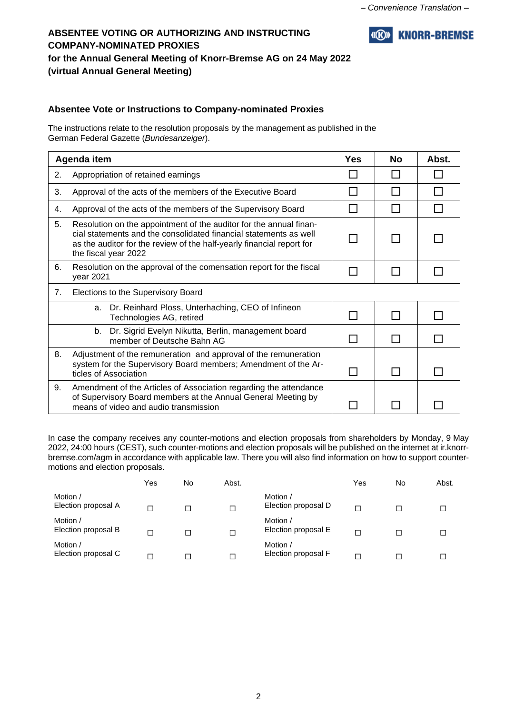

### **Absentee Vote or Instructions to Company-nominated Proxies**

The instructions relate to the resolution proposals by the management as published in the German Federal Gazette (*Bundesanzeiger*).

| Agenda item |                                                                                                                                                                                                                                          |  | <b>No</b> | Abst. |
|-------------|------------------------------------------------------------------------------------------------------------------------------------------------------------------------------------------------------------------------------------------|--|-----------|-------|
| 2.          | Appropriation of retained earnings                                                                                                                                                                                                       |  |           |       |
| 3.          | Approval of the acts of the members of the Executive Board                                                                                                                                                                               |  |           |       |
| 4.          | Approval of the acts of the members of the Supervisory Board                                                                                                                                                                             |  |           |       |
| 5.          | Resolution on the appointment of the auditor for the annual finan-<br>cial statements and the consolidated financial statements as well<br>as the auditor for the review of the half-yearly financial report for<br>the fiscal year 2022 |  |           |       |
| 6.          | Resolution on the approval of the comensation report for the fiscal<br>year 2021                                                                                                                                                         |  |           |       |
| 7.          | Elections to the Supervisory Board                                                                                                                                                                                                       |  |           |       |
|             | Dr. Reinhard Ploss, Unterhaching, CEO of Infineon<br>a.<br>Technologies AG, retired                                                                                                                                                      |  |           |       |
|             | Dr. Sigrid Evelyn Nikutta, Berlin, management board<br>b.<br>member of Deutsche Bahn AG                                                                                                                                                  |  |           |       |
| 8.          | Adjustment of the remuneration and approval of the remuneration<br>system for the Supervisory Board members; Amendment of the Ar-<br>ticles of Association                                                                               |  |           |       |
| 9.          | Amendment of the Articles of Association regarding the attendance<br>of Supervisory Board members at the Annual General Meeting by<br>means of video and audio transmission                                                              |  |           |       |

In case the company receives any counter-motions and election proposals from shareholders by Monday, 9 May 2022, 24:00 hours (CEST), such counter-motions and election proposals will be published on the internet at ir.knorrbremse.com/agm in accordance with applicable law. There you will also find information on how to support countermotions and election proposals.

|                                 | Yes | No | Abst.  |                                 | Yes | No | Abst. |
|---------------------------------|-----|----|--------|---------------------------------|-----|----|-------|
| Motion /<br>Election proposal A |     |    | □      | Motion /<br>Election proposal D | Г   |    |       |
| Motion /<br>Election proposal B |     |    | □      | Motion /<br>Election proposal E | ┍   |    |       |
| Motion /<br>Election proposal C |     |    | $\Box$ | Motion /<br>Election proposal F |     |    |       |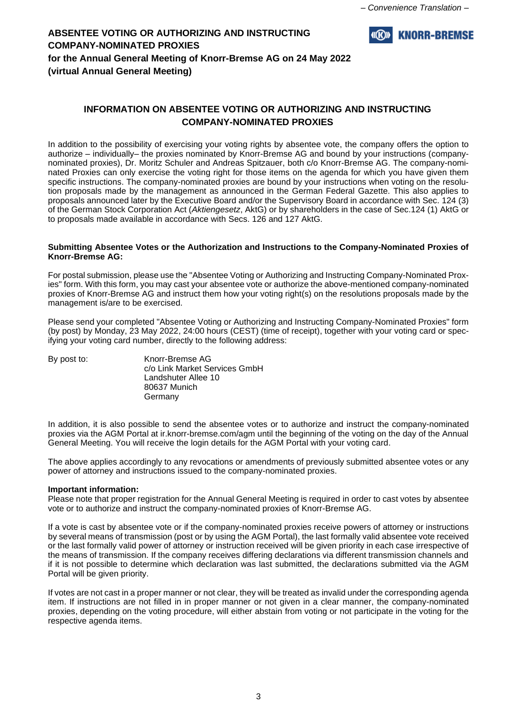

### **INFORMATION ON ABSENTEE VOTING OR AUTHORIZING AND INSTRUCTING COMPANY-NOMINATED PROXIES**

In addition to the possibility of exercising your voting rights by absentee vote, the company offers the option to authorize – individually– the proxies nominated by Knorr-Bremse AG and bound by your instructions (companynominated proxies), Dr. Moritz Schuler and Andreas Spitzauer, both c/o Knorr-Bremse AG. The company-nominated Proxies can only exercise the voting right for those items on the agenda for which you have given them specific instructions. The company-nominated proxies are bound by your instructions when voting on the resolution proposals made by the management as announced in the German Federal Gazette. This also applies to proposals announced later by the Executive Board and/or the Supervisory Board in accordance with Sec. 124 (3) of the German Stock Corporation Act (*Aktiengesetz*, AktG) or by shareholders in the case of Sec.124 (1) AktG or to proposals made available in accordance with Secs. 126 and 127 AktG.

#### **Submitting Absentee Votes or the Authorization and Instructions to the Company-Nominated Proxies of Knorr-Bremse AG:**

For postal submission, please use the "Absentee Voting or Authorizing and Instructing Company-Nominated Proxies" form. With this form, you may cast your absentee vote or authorize the above-mentioned company-nominated proxies of Knorr-Bremse AG and instruct them how your voting right(s) on the resolutions proposals made by the management is/are to be exercised.

Please send your completed "Absentee Voting or Authorizing and Instructing Company-Nominated Proxies" form (by post) by Monday, 23 May 2022, 24:00 hours (CEST) (time of receipt), together with your voting card or specifying your voting card number, directly to the following address:

By post to: Knorr-Bremse AG c/o Link Market Services GmbH Landshuter Allee 10 80637 Munich Germany

In addition, it is also possible to send the absentee votes or to authorize and instruct the company-nominated proxies via the AGM Portal at ir.knorr-bremse.com/agm until the beginning of the voting on the day of the Annual General Meeting. You will receive the login details for the AGM Portal with your voting card.

The above applies accordingly to any revocations or amendments of previously submitted absentee votes or any power of attorney and instructions issued to the company-nominated proxies.

#### **Important information:**

Please note that proper registration for the Annual General Meeting is required in order to cast votes by absentee vote or to authorize and instruct the company-nominated proxies of Knorr-Bremse AG.

If a vote is cast by absentee vote or if the company-nominated proxies receive powers of attorney or instructions by several means of transmission (post or by using the AGM Portal), the last formally valid absentee vote received or the last formally valid power of attorney or instruction received will be given priority in each case irrespective of the means of transmission. If the company receives differing declarations via different transmission channels and if it is not possible to determine which declaration was last submitted, the declarations submitted via the AGM Portal will be given priority.

If votes are not cast in a proper manner or not clear, they will be treated as invalid under the corresponding agenda item. If instructions are not filled in in proper manner or not given in a clear manner, the company-nominated proxies, depending on the voting procedure, will either abstain from voting or not participate in the voting for the respective agenda items.